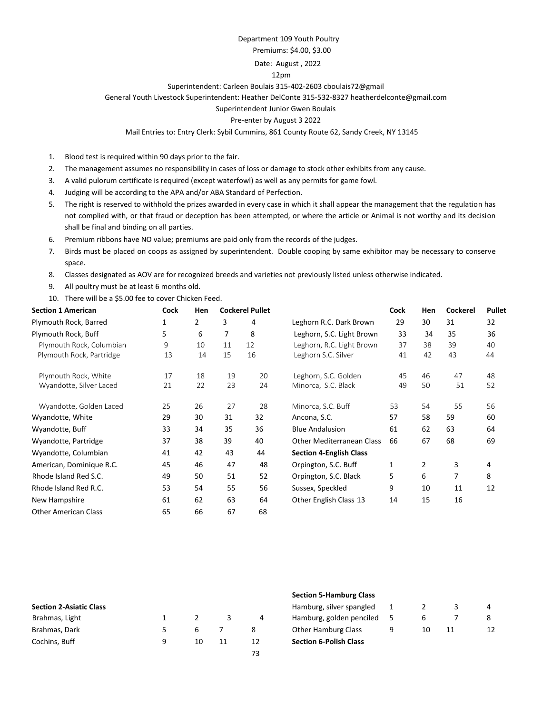#### Department 109 Youth Poultry

#### Premiums: \$4.00, \$3.00

#### Date: August , 2022

#### 12pm

### Superintendent: Carleen Boulais 315-402-2603 cboulais72@gmail

General Youth Livestock Superintendent: Heather DelConte 315-532-8327 heatherdelconte@gmail.com

#### Superintendent Junior Gwen Boulais

#### Pre-enter by August 3 2022

#### Mail Entries to: Entry Clerk: Sybil Cummins, 861 County Route 62, Sandy Creek, NY 13145

- 1. Blood test is required within 90 days prior to the fair.
- 2. The management assumes no responsibility in cases of loss or damage to stock other exhibits from any cause.
- 3. A valid pulorum certificate is required (except waterfowl) as well as any permits for game fowl.
- 4. Judging will be according to the APA and/or ABA Standard of Perfection.
- 5. The right is reserved to withhold the prizes awarded in every case in which it shall appear the management that the regulation has not complied with, or that fraud or deception has been attempted, or where the article or Animal is not worthy and its decision shall be final and binding on all parties.
- 6. Premium ribbons have NO value; premiums are paid only from the records of the judges.
- 7. Birds must be placed on coops as assigned by superintendent. Double cooping by same exhibitor may be necessary to conserve space.
- 8. Classes designated as AOV are for recognized breeds and varieties not previously listed unless otherwise indicated.
- 9. All poultry must be at least 6 months old.
- 10. There will be a \$5.00 fee to cover Chicken Feed.

| <b>Section 1 American</b>   | Cock | Hen | <b>Cockerel Pullet</b> |    | Cock                             | Hen | <b>Cockerel</b> | <b>Pullet</b> |    |
|-----------------------------|------|-----|------------------------|----|----------------------------------|-----|-----------------|---------------|----|
| Plymouth Rock, Barred       | 1    | 2   | 3                      | 4  | Leghorn R.C. Dark Brown          | 29  | 30              | 31            | 32 |
| Plymouth Rock, Buff         | 5    | 6   | 7                      | 8  | Leghorn, S.C. Light Brown        | 33  | 34              | 35            | 36 |
| Plymouth Rock, Columbian    | 9    | 10  | 11                     | 12 | Leghorn, R.C. Light Brown        | 37  | 38              | 39            | 40 |
| Plymouth Rock, Partridge    | 13   | 14  | 15                     | 16 | Leghorn S.C. Silver              | 41  | 42              | 43            | 44 |
| Plymouth Rock, White        | 17   | 18  | 19                     | 20 | Leghorn, S.C. Golden             | 45  | 46              | 47            | 48 |
| Wyandotte, Silver Laced     | 21   | 22  | 23                     | 24 | Minorca, S.C. Black              | 49  | 50              | 51            | 52 |
| Wyandotte, Golden Laced     | 25   | 26  | 27                     | 28 | Minorca, S.C. Buff               | 53  | 54              | 55            | 56 |
| Wyandotte, White            | 29   | 30  | 31                     | 32 | Ancona, S.C.                     | 57  | 58              | 59            | 60 |
| Wyandotte, Buff             | 33   | 34  | 35                     | 36 | <b>Blue Andalusion</b>           | 61  | 62              | 63            | 64 |
| Wyandotte, Partridge        | 37   | 38  | 39                     | 40 | <b>Other Mediterranean Class</b> | 66  | 67              | 68            | 69 |
| Wyandotte, Columbian        | 41   | 42  | 43                     | 44 | <b>Section 4-English Class</b>   |     |                 |               |    |
| American, Dominique R.C.    | 45   | 46  | 47                     | 48 | Orpington, S.C. Buff             | 1   | $\overline{2}$  | 3             | 4  |
| Rhode Island Red S.C.       | 49   | 50  | 51                     | 52 | Orpington, S.C. Black            | 5   | 6               | 7             | 8  |
| Rhode Island Red R.C.       | 53   | 54  | 55                     | 56 | Sussex, Speckled                 | 9   | 10              | 11            | 12 |
| New Hampshire               | 61   | 62  | 63                     | 64 | Other English Class 13           | 14  | 15              | 16            |    |
| <b>Other American Class</b> | 65   | 66  | 67                     | 68 |                                  |     |                 |               |    |

|                                |    |    | Section 5-Hamburg Class       |   |    |    |    |
|--------------------------------|----|----|-------------------------------|---|----|----|----|
| <b>Section 2-Asiatic Class</b> |    |    | Hamburg, silver spangled      |   |    |    |    |
| Brahmas, Light                 |    |    | Hamburg, golden penciled      |   |    |    |    |
| Brahmas, Dark                  |    |    | <b>Other Hamburg Class</b>    | a | 10 | 11 | 12 |
| Cochins, Buff                  | 10 | 12 | <b>Section 6-Polish Class</b> |   |    |    |    |
|                                |    | 73 |                               |   |    |    |    |

#### **Section 5-Hamburg Class**

| <b>Section 6-Polish Class</b> |   |                |    |   |
|-------------------------------|---|----------------|----|---|
| <b>Other Hamburg Class</b>    | q | 10             | 11 | 1 |
| Hamburg, golden penciled      | 5 | 6              |    | 8 |
| Hamburg, silver spangled      |   | $\overline{2}$ | Ρ  | 4 |
|                               |   |                |    |   |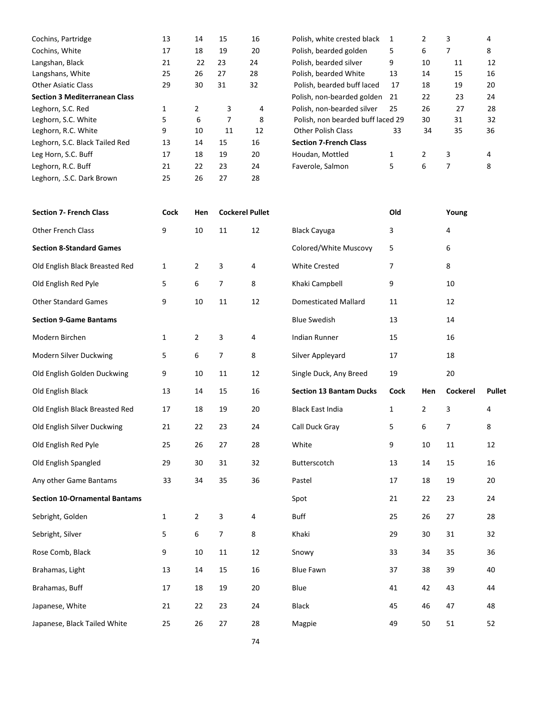| Cochins, Partridge                   | 13 | 14 | 15 | 16 | Polish, white crested black       |    |    | 3  | 4  |
|--------------------------------------|----|----|----|----|-----------------------------------|----|----|----|----|
| Cochins, White                       | 17 | 18 | 19 | 20 | Polish, bearded golden            | 5  | 6  |    | 8  |
| Langshan, Black                      | 21 | 22 | 23 | 24 | Polish, bearded silver            | 9  | 10 | 11 | 12 |
| Langshans, White                     | 25 | 26 | 27 | 28 | Polish, bearded White             | 13 | 14 | 15 | 16 |
| <b>Other Asiatic Class</b>           | 29 | 30 | 31 | 32 | Polish, bearded buff laced        | 17 | 18 | 19 | 20 |
| <b>Section 3 Mediterranean Class</b> |    |    |    |    | Polish, non-bearded golden        | 21 | 22 | 23 | 24 |
| Leghorn, S.C. Red                    |    | 2  | 3  | 4  | Polish, non-bearded silver        | 25 | 26 | 27 | 28 |
| Leghorn, S.C. White                  | 5  | 6  |    | 8  | Polish, non bearded buff laced 29 |    | 30 | 31 | 32 |
| Leghorn, R.C. White                  | 9  | 10 | 11 | 12 | <b>Other Polish Class</b>         | 33 | 34 | 35 | 36 |
| Leghorn, S.C. Black Tailed Red       | 13 | 14 | 15 | 16 | <b>Section 7-French Class</b>     |    |    |    |    |
| Leg Horn, S.C. Buff                  | 17 | 18 | 19 | 20 | Houdan, Mottled                   | 1  |    | 3  | 4  |
| Leghorn, R.C. Buff                   | 21 | 22 | 23 | 24 | Faverole, Salmon                  | 5. | 6  | 7  | 8  |
| Leghorn, .S.C. Dark Brown            | 25 | 26 | 27 | 28 |                                   |    |    |    |    |

| Polish, white crested black       | 1  | 2             | 3  | 4  |
|-----------------------------------|----|---------------|----|----|
| Polish, bearded golden            | 5  | 6             | 7  | 8  |
| Polish, bearded silver            | 9  | 10            | 11 | 12 |
| Polish, bearded White             | 13 | 14            | 15 | 16 |
| Polish, bearded buff laced        | 17 | 18            | 19 | 20 |
| Polish, non-bearded golden        | 21 | 22            | 23 | 24 |
| Polish, non-bearded silver        | 25 | 26            | 27 | 28 |
| Polish, non bearded buff laced 29 |    | 30            | 31 | 32 |
| <b>Other Polish Class</b>         | 33 | 34            | 35 | 36 |
| <b>Section 7-French Class</b>     |    |               |    |    |
| Houdan, Mottled                   | 1  | $\mathcal{P}$ | 3  | 4  |
| Faverole, Salmon                  | 5  | 6             |    | 8  |

| <b>Section 7- French Class</b>       | <b>Cock</b>  | Hen            | <b>Cockerel Pullet</b> |    |                                | Old          |                | Young    |               |
|--------------------------------------|--------------|----------------|------------------------|----|--------------------------------|--------------|----------------|----------|---------------|
| Other French Class                   | 9            | $10\,$         | 11                     | 12 | <b>Black Cayuga</b>            | 3            |                | 4        |               |
| <b>Section 8-Standard Games</b>      |              |                |                        |    | Colored/White Muscovy          | 5            |                | 6        |               |
| Old English Black Breasted Red       | $\mathbf{1}$ | $\overline{2}$ | 3                      | 4  | <b>White Crested</b>           | 7            |                | 8        |               |
| Old English Red Pyle                 | 5            | 6              | 7                      | 8  | Khaki Campbell                 | 9            |                | 10       |               |
| <b>Other Standard Games</b>          | 9            | $10\,$         | $11\,$                 | 12 | <b>Domesticated Mallard</b>    | 11           |                | 12       |               |
| <b>Section 9-Game Bantams</b>        |              |                |                        |    | <b>Blue Swedish</b>            | 13           |                | 14       |               |
| Modern Birchen                       | $\mathbf{1}$ | $\overline{2}$ | 3                      | 4  | Indian Runner                  | 15           |                | 16       |               |
| Modern Silver Duckwing               | 5            | 6              | $\overline{7}$         | 8  | Silver Appleyard               | 17           |                | 18       |               |
| Old English Golden Duckwing          | 9            | 10             | 11                     | 12 | Single Duck, Any Breed         | 19           |                | 20       |               |
| Old English Black                    | 13           | 14             | 15                     | 16 | <b>Section 13 Bantam Ducks</b> | Cock         | Hen            | Cockerel | <b>Pullet</b> |
| Old English Black Breasted Red       | 17           | 18             | 19                     | 20 | <b>Black East India</b>        | $\mathbf{1}$ | $\overline{2}$ | 3        | 4             |
| Old English Silver Duckwing          | 21           | 22             | 23                     | 24 | Call Duck Gray                 | 5            | 6              | 7        | 8             |
| Old English Red Pyle                 | 25           | 26             | 27                     | 28 | White                          | 9            | 10             | 11       | 12            |
| Old English Spangled                 | 29           | 30             | 31                     | 32 | Butterscotch                   | 13           | 14             | 15       | 16            |
| Any other Game Bantams               | 33           | 34             | 35                     | 36 | Pastel                         | 17           | 18             | 19       | 20            |
| <b>Section 10-Ornamental Bantams</b> |              |                |                        |    | Spot                           | 21           | 22             | 23       | 24            |
| Sebright, Golden                     | $\mathbf{1}$ | $\overline{2}$ | 3                      | 4  | Buff                           | 25           | 26             | 27       | 28            |
| Sebright, Silver                     | 5            | 6              | $\boldsymbol{7}$       | 8  | Khaki                          | 29           | 30             | 31       | 32            |
| Rose Comb, Black                     | 9            | $10\,$         | 11                     | 12 | Snowy                          | 33           | 34             | 35       | 36            |
| Brahamas, Light                      | 13           | 14             | 15                     | 16 | <b>Blue Fawn</b>               | 37           | 38             | 39       | 40            |
| Brahamas, Buff                       | 17           | 18             | 19                     | 20 | Blue                           | 41           | 42             | 43       | 44            |
| Japanese, White                      | 21           | 22             | 23                     | 24 | <b>Black</b>                   | 45           | 46             | 47       | 48            |
| Japanese, Black Tailed White         | 25           | 26             | 27                     | 28 | Magpie                         | 49           | 50             | 51       | 52            |
|                                      |              |                |                        |    |                                |              |                |          |               |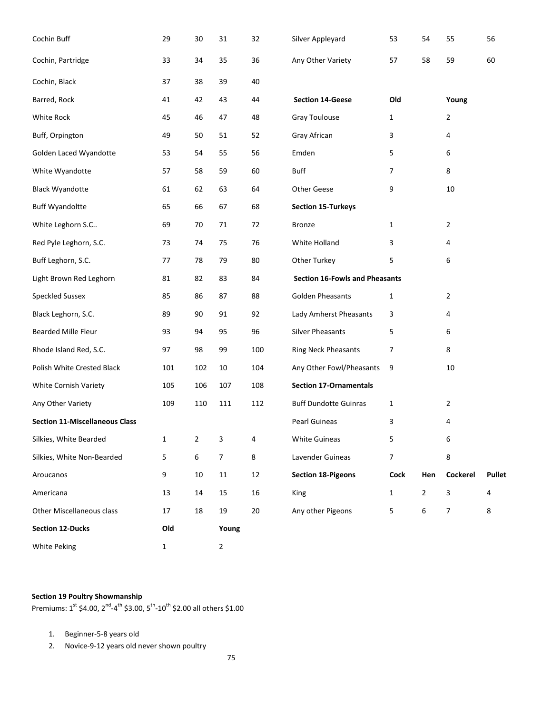| Cochin Buff                           | 29           | 30             | 31             | 32  | Silver Appleyard                      | 53             | 54             | 55             | 56            |
|---------------------------------------|--------------|----------------|----------------|-----|---------------------------------------|----------------|----------------|----------------|---------------|
| Cochin, Partridge                     | 33           | 34             | 35             | 36  | Any Other Variety                     | 57             | 58             | 59             | 60            |
| Cochin, Black                         | 37           | 38             | 39             | 40  |                                       |                |                |                |               |
| Barred, Rock                          | 41           | 42             | 43             | 44  | <b>Section 14-Geese</b>               | Old            |                | Young          |               |
| White Rock                            | 45           | 46             | 47             | 48  | Gray Toulouse                         | 1              |                | $\overline{2}$ |               |
| Buff, Orpington                       | 49           | 50             | 51             | 52  | Gray African                          | 3              |                | 4              |               |
| Golden Laced Wyandotte                | 53           | 54             | 55             | 56  | Emden                                 | 5              |                | 6              |               |
| White Wyandotte                       | 57           | 58             | 59             | 60  | <b>Buff</b>                           | 7              |                | 8              |               |
| <b>Black Wyandotte</b>                | 61           | 62             | 63             | 64  | <b>Other Geese</b>                    | 9              |                | 10             |               |
| <b>Buff Wyandoltte</b>                | 65           | 66             | 67             | 68  | <b>Section 15-Turkeys</b>             |                |                |                |               |
| White Leghorn S.C                     | 69           | 70             | 71             | 72  | <b>Bronze</b>                         | $\mathbf{1}$   |                | $\overline{2}$ |               |
| Red Pyle Leghorn, S.C.                | 73           | 74             | 75             | 76  | White Holland                         | 3              |                | 4              |               |
| Buff Leghorn, S.C.                    | 77           | 78             | 79             | 80  | Other Turkey                          | 5              |                | 6              |               |
| Light Brown Red Leghorn               | 81           | 82             | 83             | 84  | <b>Section 16-Fowls and Pheasants</b> |                |                |                |               |
| <b>Speckled Sussex</b>                | 85           | 86             | 87             | 88  | <b>Golden Pheasants</b>               | $\mathbf{1}$   |                | 2              |               |
| Black Leghorn, S.C.                   | 89           | 90             | 91             | 92  | Lady Amherst Pheasants                | 3              |                | 4              |               |
| Bearded Mille Fleur                   | 93           | 94             | 95             | 96  | <b>Silver Pheasants</b>               | 5              |                | 6              |               |
| Rhode Island Red, S.C.                | 97           | 98             | 99             | 100 | Ring Neck Pheasants                   | 7              |                | 8              |               |
| Polish White Crested Black            | 101          | 102            | 10             | 104 | Any Other Fowl/Pheasants              | 9              |                | 10             |               |
| White Cornish Variety                 | 105          | 106            | 107            | 108 | <b>Section 17-Ornamentals</b>         |                |                |                |               |
| Any Other Variety                     | 109          | 110            | 111            | 112 | <b>Buff Dundotte Guinras</b>          | $\mathbf{1}$   |                | $\overline{2}$ |               |
| <b>Section 11-Miscellaneous Class</b> |              |                |                |     | <b>Pearl Guineas</b>                  | 3              |                | 4              |               |
| Silkies, White Bearded                | $\mathbf{1}$ | $\overline{2}$ | 3              | 4   | <b>White Guineas</b>                  | 5              |                | 6              |               |
| Silkies, White Non-Bearded            | 5            | 6              | 7              | 8   | Lavender Guineas                      | $\overline{7}$ |                | 8              |               |
| Aroucanos                             | 9            | $10\,$         | $11\,$         | 12  | <b>Section 18-Pigeons</b>             | Cock           | Hen            | Cockerel       | <b>Pullet</b> |
| Americana                             | 13           | 14             | 15             | 16  | King                                  | $\mathbf{1}$   | $\overline{2}$ | 3              | 4             |
| Other Miscellaneous class             | 17           | 18             | 19             | 20  | Any other Pigeons                     | 5              | 6              | 7              | 8             |
| <b>Section 12-Ducks</b>               | Old          |                | Young          |     |                                       |                |                |                |               |
| White Peking                          | $\mathbf{1}$ |                | $\overline{2}$ |     |                                       |                |                |                |               |

# **Section 19 Poultry Showmanship**

Premiums:  $1^{st}$  \$4.00,  $2^{nd}$ -4<sup>th</sup> \$3.00,  $5^{th}$ -10<sup>th</sup> \$2.00 all others \$1.00

- 1. Beginner-5-8 years old
- 2. Novice-9-12 years old never shown poultry